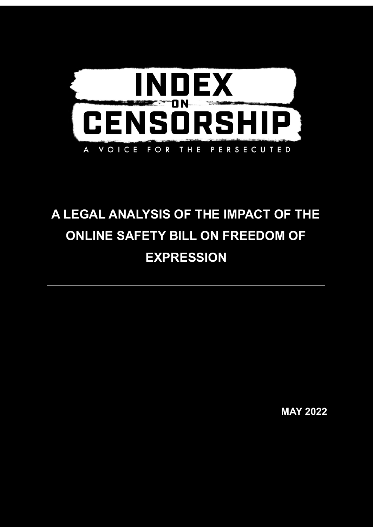

# **A LEGAL ANALYSIS OF THE IMPACT OF THE ONLINE SAFETY BILL ON FREEDOM OF EXPRESSION**

**MAY 2022**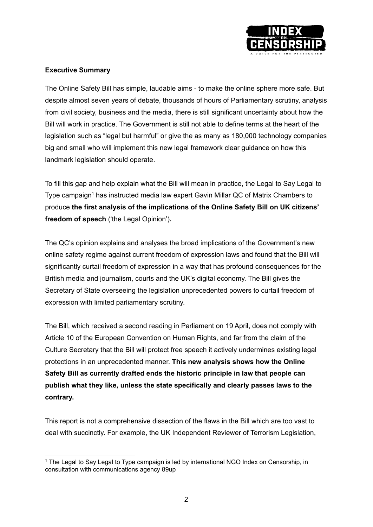

# **Executive Summary**

The Online Safety Bill has simple, laudable aims - to make the online sphere more safe. But despite almost seven years of debate, thousands of hours of Parliamentary scrutiny, analysis from civil society, business and the media, there is still significant uncertainty about how the Bill will work in practice. The Government is still not able to define terms at the heart of the legislation such as "legal but harmful" or give the as many as 180,000 technology companies big and small who will implement this new legal framework clear guidance on how this landmark legislation should operate.

To fill this gap and help explain what the Bill will mean in practice, the Legal to Say Legal to Type campaign <sup>1</sup> has instructed media law expert Gavin Millar QC of Matrix Chambers to produce **the first analysis of the implications of the Online Safety Bill on UK citizens' freedom of speech** ('the Legal Opinion')**.**

The QC's opinion explains and analyses the broad implications of the Government's new online safety regime against current freedom of expression laws and found that the Bill will significantly curtail freedom of expression in a way that has profound consequences for the British media and journalism, courts and the UK's digital economy. The Bill gives the Secretary of State overseeing the legislation unprecedented powers to curtail freedom of expression with limited parliamentary scrutiny.

The Bill, which received a second reading in Parliament on 19 April, does not comply with Article 10 of the European Convention on Human Rights, and far from the claim of the Culture Secretary that the Bill will protect free speech it actively undermines existing legal protections in an unprecedented manner. **This new analysis shows how the Online Safety Bill as currently drafted ends the historic principle in law that people can publish what they like, unless the state specifically and clearly passes laws to the contrary.**

This report is not a comprehensive dissection of the flaws in the Bill which are too vast to deal with succinctly. For example, the UK Independent Reviewer of Terrorism Legislation,

<sup>&</sup>lt;sup>1</sup> The Legal to Say Legal to Type campaign is led by international NGO Index on Censorship, in consultation with communications agency 89up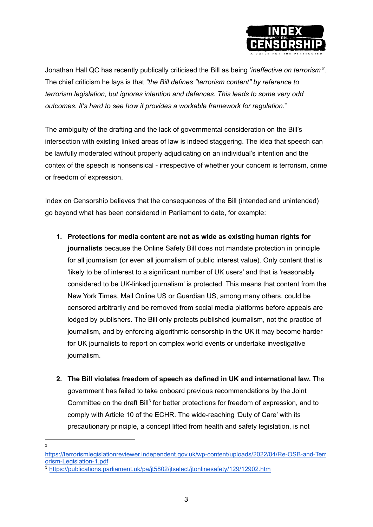

Jonathan Hall QC has recently publically criticised the Bill as being '*ineffective on terrorism' 2 .* The chief criticism he lays is that *"the Bill defines "terrorism content" by reference to terrorism legislation, but ignores intention and defences. This leads to some very odd outcomes. It's hard to see how it provides a workable framework for regulation*."

The ambiguity of the drafting and the lack of governmental consideration on the Bill's intersection with existing linked areas of law is indeed staggering. The idea that speech can be lawfully moderated without properly adjudicating on an individual's intention and the contex of the speech is nonsensical - irrespective of whether your concern is terrorism, crime or freedom of expression.

Index on Censorship believes that the consequences of the Bill (intended and unintended) go beyond what has been considered in Parliament to date, for example:

- **1. Protections for media content are not as wide as existing human rights for journalists** because the Online Safety Bill does not mandate protection in principle for all journalism (or even all journalism of public interest value). Only content that is 'likely to be of interest to a significant number of UK users' and that is 'reasonably considered to be UK-linked journalism' is protected. This means that content from the New York Times, Mail Online US or Guardian US, among many others, could be censored arbitrarily and be removed from social media platforms before appeals are lodged by publishers. The Bill only protects published journalism, not the practice of journalism, and by enforcing algorithmic censorship in the UK it may become harder for UK journalists to report on complex world events or undertake investigative journalism.
- **2. The Bill violates freedom of speech as defined in UK and international law.** The government has failed to take onboard previous recommendations by the Joint Committee on the draft Bill<sup>3</sup> for better protections for freedom of expression, and to comply with Article 10 of the ECHR. The wide-reaching 'Duty of Care' with its precautionary principle, a concept lifted from health and safety legislation, is not
- 2

[https://terrorismlegislationreviewer.independent.gov.uk/wp-content/uploads/2022/04/Re-OSB-and-Terr](https://terrorismlegislationreviewer.independent.gov.uk/wp-content/uploads/2022/04/Re-OSB-and-Terrorism-Legislation-1.pdf) [orism-Legislation-1.pdf](https://terrorismlegislationreviewer.independent.gov.uk/wp-content/uploads/2022/04/Re-OSB-and-Terrorism-Legislation-1.pdf)

<sup>3</sup> <https://publications.parliament.uk/pa/jt5802/jtselect/jtonlinesafety/129/12902.htm>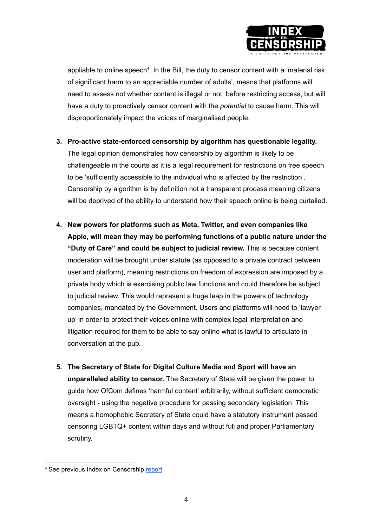

appliable to online speech<sup>4</sup>. In the Bill, the duty to censor content with a 'material risk of significant harm to an appreciable number of adults', means that platforms will need to assess not whether content is illegal or not, before restricting access, but will have a duty to proactively censor content with the *potential* to cause harm. This will disproportionately impact the voices of marginalised people.

**3. Pro-active state-enforced censorship by algorithm has questionable legality.**

The legal opinion demonstrates how censorship by algorithm is likely to be challengeable in the courts as it is a legal requirement for restrictions on free speech to be 'sufficiently accessible to the individual who is affected by the restriction'. Censorship by algorithm is by definition not a transparent process meaning citizens will be deprived of the ability to understand how their speech online is being curtailed.

- **4. New powers for platforms such as Meta, Twitter, and even companies like Apple, will mean they may be performing functions of a public nature under the "Duty of Care" and could be subject to judicial review.** This is because content moderation will be brought under statute (as opposed to a private contract between user and platform), meaning restrictions on freedom of expression are imposed by a private body which is exercising public law functions and could therefore be subject to judicial review. This would represent a huge leap in the powers of technology companies, mandated by the Government. Users and platforms will need to 'lawyer up' in order to protect their voices online with complex legal interpretation and litigation required for them to be able to say online what is lawful to articulate in conversation at the pub.
- **5. The Secretary of State for Digital Culture Media and Sport will have an unparalleled ability to censor.** The Secretary of State will be given the power to guide how OfCom defines 'harmful content' arbitrarily, without sufficient democratic oversight - using the negative procedure for passing secondary legislation. This means a homophobic Secretary of State could have a statutory instrument passed censoring LGBTQ+ content within days and without full and proper Parliamentary scrutiny.

<sup>4</sup> See previous Index on Censorship [report](https://www.indexoncensorship.org/wp-content/uploads/2021/06/Index-on-Censorship-The-Problems-With-The-Duty-of-Care.pdf)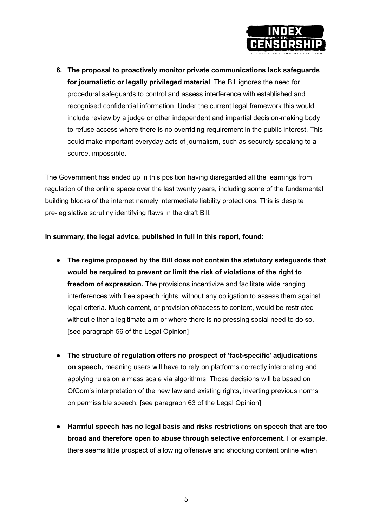

**6. The proposal to proactively monitor private communications lack safeguards for journalistic or legally privileged material**. The Bill ignores the need for procedural safeguards to control and assess interference with established and recognised confidential information. Under the current legal framework this would include review by a judge or other independent and impartial decision-making body to refuse access where there is no overriding requirement in the public interest. This could make important everyday acts of journalism, such as securely speaking to a source, impossible.

The Government has ended up in this position having disregarded all the learnings from regulation of the online space over the last twenty years, including some of the fundamental building blocks of the internet namely intermediate liability protections. This is despite pre-legislative scrutiny identifying flaws in the draft Bill.

**In summary, the legal advice, published in full in this report, found:**

- **The regime proposed by the Bill does not contain the statutory safeguards that would be required to prevent or limit the risk of violations of the right to freedom of expression.** The provisions incentivize and facilitate wide ranging interferences with free speech rights, without any obligation to assess them against legal criteria. Much content, or provision of/access to content, would be restricted without either a legitimate aim or where there is no pressing social need to do so. [see paragraph 56 of the Legal Opinion]
- **The structure of regulation offers no prospect of 'fact-specific' adjudications on speech,** meaning users will have to rely on platforms correctly interpreting and applying rules on a mass scale via algorithms. Those decisions will be based on OfCom's interpretation of the new law and existing rights, inverting previous norms on permissible speech. [see paragraph 63 of the Legal Opinion]
- **Harmful speech has no legal basis and risks restrictions on speech that are too broad and therefore open to abuse through selective enforcement.** For example, there seems little prospect of allowing offensive and shocking content online when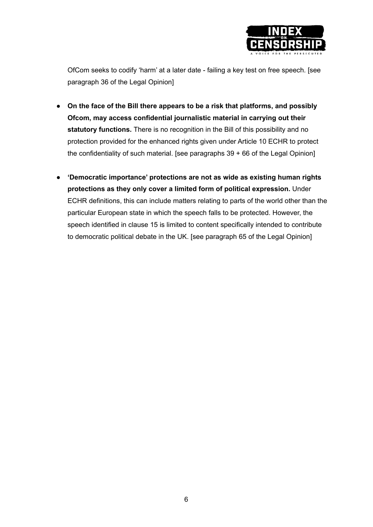

OfCom seeks to codify 'harm' at a later date - failing a key test on free speech. [see paragraph 36 of the Legal Opinion]

- **On the face of the Bill there appears to be a risk that platforms, and possibly Ofcom, may access confidential journalistic material in carrying out their statutory functions.** There is no recognition in the Bill of this possibility and no protection provided for the enhanced rights given under Article 10 ECHR to protect the confidentiality of such material. [see paragraphs 39 + 66 of the Legal Opinion]
- **'Democratic importance' protections are not as wide as existing human rights protections as they only cover a limited form of political expression.** Under ECHR definitions, this can include matters relating to parts of the world other than the particular European state in which the speech falls to be protected. However, the speech identified in clause 15 is limited to content specifically intended to contribute to democratic political debate in the UK. [see paragraph 65 of the Legal Opinion]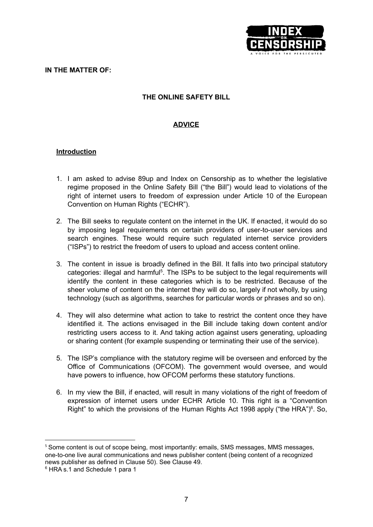

#### **IN THE MATTER OF:**

# **THE ONLINE SAFETY BILL**

# **ADVICE**

## **Introduction**

- 1. I am asked to advise 89up and Index on Censorship as to whether the legislative regime proposed in the Online Safety Bill ("the Bill") would lead to violations of the right of internet users to freedom of expression under Article 10 of the European Convention on Human Rights ("ECHR").
- 2. The Bill seeks to regulate content on the internet in the UK. If enacted, it would do so by imposing legal requirements on certain providers of user-to-user services and search engines. These would require such regulated internet service providers ("ISPs") to restrict the freedom of users to upload and access content online.
- 3. The content in issue is broadly defined in the Bill. It falls into two principal statutory categories: illegal and harmful<sup>5</sup>. The ISPs to be subject to the legal requirements will identify the content in these categories which is to be restricted. Because of the sheer volume of content on the internet they will do so, largely if not wholly, by using technology (such as algorithms, searches for particular words or phrases and so on).
- 4. They will also determine what action to take to restrict the content once they have identified it. The actions envisaged in the Bill include taking down content and/or restricting users access to it. And taking action against users generating, uploading or sharing content (for example suspending or terminating their use of the service).
- 5. The ISP's compliance with the statutory regime will be overseen and enforced by the Office of Communications (OFCOM). The government would oversee, and would have powers to influence, how OFCOM performs these statutory functions.
- 6. In my view the Bill, if enacted, will result in many violations of the right of freedom of expression of internet users under ECHR Article 10. This right is a "Convention Right" to which the provisions of the Human Rights Act 1998 apply ("the HRA") $6$ . So,

<sup>&</sup>lt;sup>5</sup> Some content is out of scope being, most importantly: emails, SMS messages, MMS messages, one-to-one live aural communications and news publisher content (being content of a recognized news publisher as defined in Clause 50). See Clause 49.

<sup>&</sup>lt;sup>6</sup> HRA s.1 and Schedule 1 para 1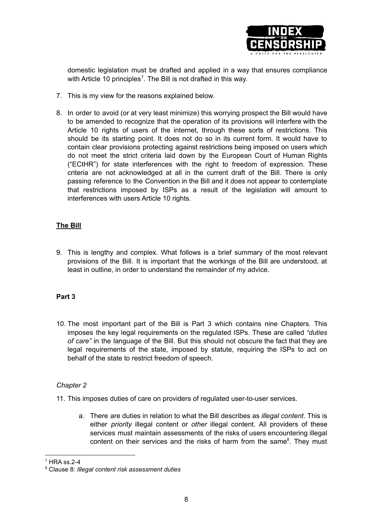

domestic legislation must be drafted and applied in a way that ensures compliance with Article 10 principles<sup>7</sup>. The Bill is not drafted in this way.

- 7. This is my view for the reasons explained below.
- 8. In order to avoid (or at very least minimize) this worrying prospect the Bill would have to be amended to recognize that the operation of its provisions will interfere with the Article 10 rights of users of the internet, through these sorts of restrictions. This should be its starting point. It does not do so in its current form. It would have to contain clear provisions protecting against restrictions being imposed on users which do not meet the strict criteria laid down by the European Court of Human Rights ("ECtHR") for state interferences with the right to freedom of expression. These criteria are not acknowledged at all in the current draft of the Bill. There is only passing reference to the Convention in the Bill and it does not appear to contemplate that restrictions imposed by ISPs as a result of the legislation will amount to interferences with users Article 10 rights.

# **The Bill**

9. This is lengthy and complex. What follows is a brief summary of the most relevant provisions of the Bill. It is important that the workings of the Bill are understood, at least in outline, in order to understand the remainder of my advice.

## **Part 3**

10. The most important part of the Bill is Part 3 which contains nine Chapters. This imposes the key legal requirements on the regulated ISPs. These are called *"duties of care"* in the language of the Bill. But this should not obscure the fact that they are legal requirements of the state, imposed by statute, requiring the ISPs to act on behalf of the state to restrict freedom of speech.

## *Chapter 2*

- 11. This imposes duties of care on providers of regulated user-to-user services.
	- a. There are duties in relation to what the Bill describes as *illegal content*. This is either *priority* illegal content or *other* illegal content. All providers of these services must maintain assessments of the risks of users encountering illegal content on their services and the risks of harm from the same<sup>8</sup>. They must

<sup>7</sup> HRA ss.2-4

<sup>8</sup> Clause 8: *Illegal content risk assessment duties*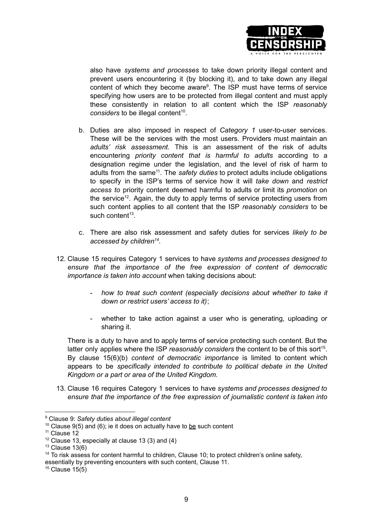

also have *systems and processes* to take down priority illegal content and prevent users encountering it (by blocking it), and to take down any illegal content of which they become aware 9 . The ISP must have terms of service specifying how users are to be protected from illegal content and must apply these consistently in relation to all content which the ISP *reasonably* considers to be illegal content<sup>10</sup>.

- b. Duties are also imposed in respect of *Category 1* user-to-user services. These will be the services with the most users. Providers must maintain an *adults' risk assessment*. This is an assessment of the risk of adults encountering *priority content that is harmful to adults* according to a designation regime under the legislation, and the level of risk of harm to adults from the same<sup>11</sup>. The *safety duties* to protect adults include obligations to specify in the ISP's terms of service how it will *take down* and *restrict access to* priority content deemed harmful to adults or limit its *promotion* on the service<sup>12</sup>. Again, the duty to apply terms of service protecting users from such content applies to all content that the ISP *reasonably considers* to be such content<sup>13</sup>.
- c. There are also risk assessment and safety duties for services *likely to be accessed by children 14* .
- 12. Clause 15 requires Category 1 services to have *systems and processes designed to ensure that the importance of the free expression of content of democratic importance is taken into account* when taking decisions about:
	- *how to treat such content (especially decisions about whether to take it down or restrict users' access to it)*;
	- whether to take action against a user who is generating, uploading or sharing it.

There is a duty to have and to apply terms of service protecting such content. But the latter only applies where the ISP *reasonably considers* the content to be of this sort<sup>15</sup>. By clause 15(6)(b) *content of democratic importance* is limited to content which appears to be *specifically intended to contribute to political debate in the United Kingdom or a part or area of the United Kingdom.*

13. Clause 16 requires Category 1 services to have *systems and processes designed to ensure that the importance of the free expression of journalistic content is taken into*

essentially by preventing encounters with such content, Clause 11.

 $15$  Clause 15(5)

<sup>9</sup> Clause 9: *Safety duties about illegal content*

<sup>&</sup>lt;sup>10</sup> Clause 9(5) and (6); ie it does on actually have to be such content

 $11$  Clause 12

 $12$  Clause 13, especially at clause 13 (3) and (4)

 $13$  Clause 13(6)

<sup>&</sup>lt;sup>14</sup> To risk assess for content harmful to children, Clause 10; to protect children's online safety,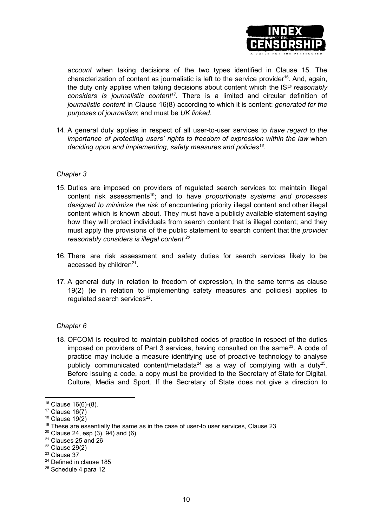

*account* when taking decisions of the two types identified in Clause 15. The characterization of content as journalistic is left to the service provider<sup>16</sup>. And, again, the duty only applies when taking decisions about content which the ISP *reasonably considers is journalistic content 17 .* There is a limited and circular definition of *journalistic content* in Clause 16(8) according to which it is content: *generated for the purposes of journalism*; and must be *UK linked.*

14. A general duty applies in respect of all user-to-user services to *have regard to the importance of protecting users' rights to freedom of expression within the law* when *deciding upon and implementing, safety measures and policies 18 .*

## *Chapter 3*

- 15. Duties are imposed on providers of regulated search services to: maintain illegal content risk assessments 19 ; and to have *proportionate systems and processes designed to minimize the risk of* encountering priority illegal content and other illegal content which is known about. They must have a publicly available statement saying how they will protect individuals from search content that is illegal content; and they must apply the provisions of the public statement to search content that the *provider reasonably considers is illegal content. 20*
- 16. There are risk assessment and safety duties for search services likely to be accessed by children $21$ .
- 17. A general duty in relation to freedom of expression, in the same terms as clause 19(2) (ie in relation to implementing safety measures and policies) applies to regulated search services<sup>22</sup>.

## *Chapter 6*

18. OFCOM is required to maintain published codes of practice in respect of the duties imposed on providers of Part 3 services, having consulted on the same<sup>23</sup>. A code of practice may include a measure identifying use of proactive technology to analyse publicly communicated content/metadata<sup>24</sup> as a way of complying with a duty<sup>25</sup>. Before issuing a code, a copy must be provided to the Secretary of State for Digital, Culture, Media and Sport. If the Secretary of State does not give a direction to

<sup>16</sup> Clause 16(6)-(8).

 $17$  Clause  $16(7)$ 

 $18$  Clause  $19(2)$ 

 $19$  These are essentially the same as in the case of user-to user services, Clause 23

 $20$  Clause 24, esp (3), 94) and (6).

<sup>&</sup>lt;sup>21</sup> Clauses 25 and 26

 $22$  Clause 29(2)

<sup>&</sup>lt;sup>23</sup> Clause 37

<sup>&</sup>lt;sup>24</sup> Defined in clause 185

<sup>&</sup>lt;sup>25</sup> Schedule 4 para 12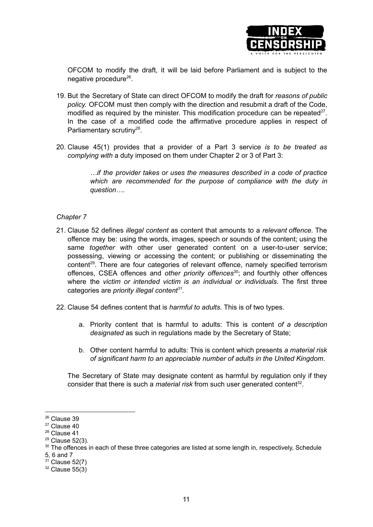

OFCOM to modify the draft, it will be laid before Parliament and is subject to the negative procedure<sup>26</sup>.

- 19. But the Secretary of State can direct OFCOM to modify the draft for *reasons of public policy.* OFCOM must then comply with the direction and resubmit a draft of the Code, modified as required by the minister. This modification procedure can be repeated $27$ . In the case of a modified code the affirmative procedure applies in respect of Parliamentary scrutiny<sup>28</sup>.
- 20. Clause 45(1) provides that a provider of a Part 3 service *is to be treated as complying with* a duty imposed on them under Chapter 2 or 3 of Part 3:

*…if the provider takes or uses the measures described in a code of practice which are recommended for the purpose of compliance with the duty in question….*

#### *Chapter 7*

- 21. Clause 52 defines *illegal content* as content that amounts to a *relevant offence.* The offence may be: using the words, images, speech or sounds of the content; using the same *together with* other user generated content on a user-to-user service; possessing, viewing or accessing the content; or publishing or disseminating the content<sup>29</sup>. There are four categories of relevant offence, namely specified terrorism offences, CSEA offences and *other priority offences* 30 ; and fourthly other offences where the *victim or intended victim is an individual or individuals*. The first three categories are *priority illegal content 31 .*
- 22. Clause 54 defines content that is *harmful to adults*. This is of two types.
	- a. Priority content that is harmful to adults: This is content *of a description designated* as such in regulations made by the Secretary of State;
	- b. Other content harmful to adults: This is content which presents *a material risk of significant harm to an appreciable number of adults in the United Kingdom.*

The Secretary of State may designate content as harmful by regulation only if they consider that there is such a *material risk* from such user generated content 32 .

<sup>26</sup> Clause 39

<sup>&</sup>lt;sup>27</sup> Clause 40

<sup>28</sup> Clause 41

<sup>29</sup> Clause 52(3).

<sup>&</sup>lt;sup>30</sup> The offences in each of these three categories are listed at some length in, respectively, Schedule

<sup>5,</sup> 6 and 7

 $31$  Clause 52(7)

 $32$  Clause 55(3)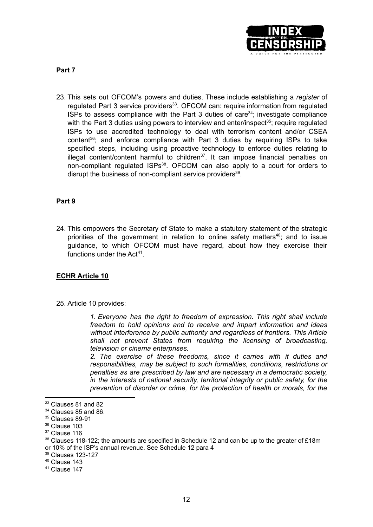

**Part 7**

23. This sets out OFCOM's powers and duties. These include establishing a *register* of regulated Part 3 service providers<sup>33</sup>. OFCOM can: require information from regulated ISPs to assess compliance with the Part  $3$  duties of care<sup>34</sup>; investigate compliance with the Part 3 duties using powers to interview and enter/inspect<sup>35</sup>; require regulated ISPs to use accredited technology to deal with terrorism content and/or CSEA content<sup>36</sup>; and enforce compliance with Part 3 duties by requiring ISPs to take specified steps, including using proactive technology to enforce duties relating to illegal content/content harmful to children<sup>37</sup>. It can impose financial penalties on non-compliant regulated ISPs<sup>38</sup>. OFCOM can also apply to a court for orders to disrupt the business of non-compliant service providers<sup>39</sup>.

# **Part 9**

24. This empowers the Secretary of State to make a statutory statement of the strategic priorities of the government in relation to online safety matters<sup>40</sup>; and to issue guidance, to which OFCOM must have regard, about how they exercise their functions under the Act<sup>41</sup>.

# **ECHR Article 10**

25. Article 10 provides:

*1. Everyone has the right to freedom of expression. This right shall include freedom to hold opinions and to receive and impart information and ideas without interference by public authority and regardless of frontiers. This Article shall not prevent States from requiring the licensing of broadcasting, television or cinema enterprises.*

*2. The exercise of these freedoms, since it carries with it duties and responsibilities, may be subject to such formalities, conditions, restrictions or penalties as are prescribed by law and are necessary in a democratic society, in the interests of national security, territorial integrity or public safety, for the prevention of disorder or crime, for the protection of health or morals, for the*

<sup>&</sup>lt;sup>33</sup> Clauses 81 and 82

<sup>&</sup>lt;sup>34</sup> Clauses 85 and 86.

<sup>35</sup> Clauses 89-91

<sup>&</sup>lt;sup>36</sup> Clause 103

<sup>&</sup>lt;sup>37</sup> Clause 116

 $38$  Clauses 118-122; the amounts are specified in Schedule 12 and can be up to the greater of £18m or 10% of the ISP's annual revenue. See Schedule 12 para 4

<sup>39</sup> Clauses 123-127

<sup>40</sup> Clause 143

 $41$  Clause 147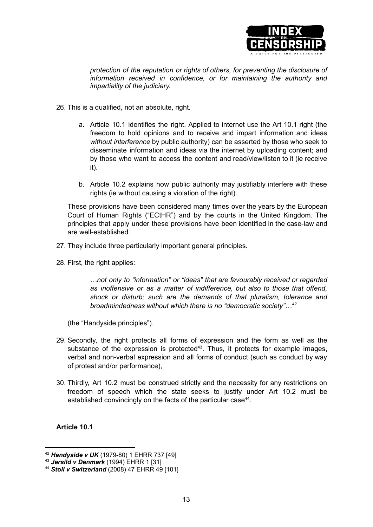

*protection of the reputation or rights of others, for preventing the disclosure of information received in confidence, or for maintaining the authority and impartiality of the judiciary.*

- 26. This is a qualified, not an absolute, right.
	- a. Article 10.1 identifies the right. Applied to internet use the Art 10.1 right (the freedom to hold opinions and to receive and impart information and ideas *without interference* by public authority) can be asserted by those who seek to disseminate information and ideas via the internet by uploading content; and by those who want to access the content and read/view/listen to it (ie receive it).
	- b. Article 10.2 explains how public authority may justifiably interfere with these rights (ie without causing a violation of the right).

These provisions have been considered many times over the years by the European Court of Human Rights ("ECtHR") and by the courts in the United Kingdom. The principles that apply under these provisions have been identified in the case-law and are well-established.

- 27. They include three particularly important general principles.
- 28. First, the right applies:

*…not only to "information" or "ideas" that are favourably received or regarded as inoffensive or as a matter of indifference, but also to those that offend, shock or disturb; such are the demands of that pluralism, tolerance and broadmindedness without which there is no "democratic society"…<sup>42</sup>*

(the "Handyside principles").

- 29. Secondly, the right protects all forms of expression and the form as well as the substance of the expression is protected<sup>43</sup>. Thus, it protects for example images, verbal and non-verbal expression and all forms of conduct (such as conduct by way of protest and/or performance),
- 30. Thirdly, Art 10.2 must be construed strictly and the necessity for any restrictions on freedom of speech which the state seeks to justify under Art 10.2 must be established convincingly on the facts of the particular case<sup>44</sup>.

**Article 10.1**

<sup>42</sup> *Handyside v UK* (1979-80) 1 EHRR 737 [49]

<sup>43</sup> *Jersild v Denmark* (1994) EHRR 1 [31]

<sup>44</sup> *Stoll v Switzerland* (2008) 47 EHRR 49 [101]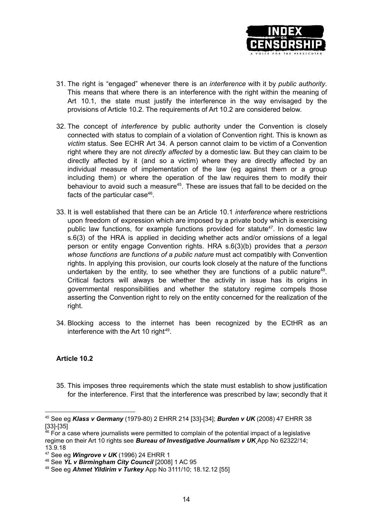

- 31. The right is "engaged" whenever there is an *interference* with it by *public authority*. This means that where there is an interference with the right within the meaning of Art 10.1, the state must justify the interference in the way envisaged by the provisions of Article 10.2. The requirements of Art 10.2 are considered below.
- 32. The concept of *interference* by public authority under the Convention is closely connected with status to complain of a violation of Convention right. This is known as *victim* status. See ECHR Art 34. A person cannot claim to be victim of a Convention right where they are not *directly affected* by a domestic law. But they can claim to be directly affected by it (and so a victim) where they are directly affected by an individual measure of implementation of the law (eg against them or a group including them) or where the operation of the law requires them to modify their behaviour to avoid such a measure<sup>45</sup>. These are issues that fall to be decided on the facts of the particular case<sup>46</sup>.
- 33. It is well established that there can be an Article 10.1 *interference* where restrictions upon freedom of expression which are imposed by a private body which is exercising public law functions, for example functions provided for statute 47 . In domestic law s.6(3) of the HRA is applied in deciding whether acts and/or omissions of a legal person or entity engage Convention rights. HRA s.6(3)(b) provides that a *person whose functions are functions of a public nature* must act compatibly with Convention rights. In applying this provision, our courts look closely at the nature of the functions undertaken by the entity, to see whether they are functions of a public nature<sup>48</sup>. Critical factors will always be whether the activity in issue has its origins in governmental responsibilities and whether the statutory regime compels those asserting the Convention right to rely on the entity concerned for the realization of the right.
- 34. Blocking access to the internet has been recognized by the ECtHR as an interference with the Art 10 right<sup>49</sup>.

## **Article 10.2**

35. This imposes three requirements which the state must establish to show justification for the interference. First that the interference was prescribed by law; secondly that it

<sup>45</sup> See eg *Klass v Germany* (1979-80) 2 EHRR 214 [33]-[34]; *Burden v UK* (2008) 47 EHRR 38 [33]-[35]

 $^{46}$  For a case where journalists were permitted to complain of the potential impact of a legislative regime on their Art 10 rights see *Bureau of Investigative Journalism v UK* App No 62322/14; 13.9.18

<sup>47</sup> See eg *Wingrove v UK* (1996) 24 EHRR 1

<sup>48</sup> See *YL v Birmingham City Council* [2008] 1 AC 95

<sup>49</sup> See eg *Ahmet Yildirim v Turkey* App No 3111/10; 18.12.12 [55]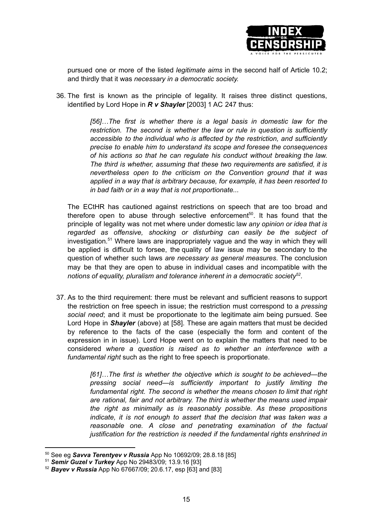

pursued one or more of the listed *legitimate aims* in the second half of Article 10.2; and thirdly that it was *necessary in a democratic society.*

36. The first is known as the principle of legality. It raises three distinct questions, identified by Lord Hope in *R v Shayler* [2003] 1 AC 247 thus:

> *[56]…The first is whether there is a legal basis in domestic law for the restriction. The second is whether the law or rule in question is sufficiently accessible to the individual who is affected by the restriction, and sufficiently precise to enable him to understand its scope and foresee the consequences of his actions so that he can regulate his conduct without breaking the law. The third is whether, assuming that these two requirements are satisfied, it is nevertheless open to the criticism on the Convention ground that it was applied in a way that is arbitrary because, for example, it has been resorted to in bad faith or in a way that is not proportionate...*

The ECtHR has cautioned against restrictions on speech that are too broad and therefore open to abuse through selective enforcement 50 . It has found that the principle of legality was not met where under domestic law *any opinion or idea that is regarded as offensive, shocking or disturbing can easily be the subject of* investigation*.* <sup>51</sup> Where laws are inappropriately vague and the way in which they will be applied is difficult to forsee, the quality of law issue may be secondary to the question of whether such laws *are necessary as general measures*. The conclusion may be that they are open to abuse in individual cases and incompatible with the *notions of equality, pluralism and tolerance inherent in a democratic society 52 .*

37. As to the third requirement: there must be relevant and sufficient reasons to support the restriction on free speech in issue; the restriction must correspond to a *pressing social need*; and it must be proportionate to the legitimate aim being pursued. See Lord Hope in *Shayler* (above) at [58]. These are again matters that must be decided by reference to the facts of the case (especially the form and content of the expression in in issue). Lord Hope went on to explain the matters that need to be considered *where a question is raised as to whether an interference with a fundamental right* such as the right to free speech is proportionate.

> *[61]…The first is whether the objective which is sought to be achieved—the pressing social need—is sufficiently important to justify limiting the fundamental right. The second is whether the means chosen to limit that right are rational, fair and not arbitrary. The third is whether the means used impair the right as minimally as is reasonably possible. As these propositions indicate, it is not enough to assert that the decision that was taken was a reasonable one. A close and penetrating examination of the factual justification for the restriction is needed if the fundamental rights enshrined in*

<sup>50</sup> See eg *Savva Terentyev v Russia* App No 10692/09; 28.8.18 [85]

<sup>51</sup> *Semir Guzel v Turkey* App No 29483/09; 13.9.16 [93]

<sup>52</sup> *Bayev v Russia* App No 67667/09; 20.6.17, esp [63] and [83]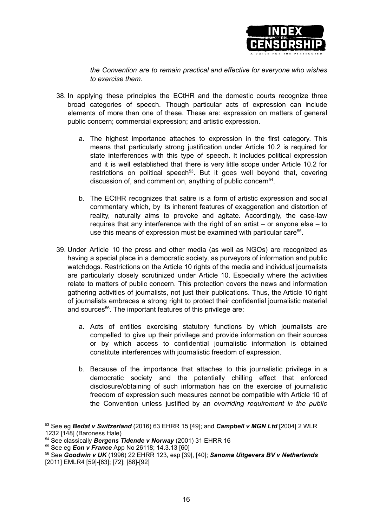

*the Convention are to remain practical and effective for everyone who wishes to exercise them.*

- 38. In applying these principles the ECtHR and the domestic courts recognize three broad categories of speech. Though particular acts of expression can include elements of more than one of these. These are: expression on matters of general public concern; commercial expression; and artistic expression.
	- a. The highest importance attaches to expression in the first category. This means that particularly strong justification under Article 10.2 is required for state interferences with this type of speech. It includes political expression and it is well established that there is very little scope under Article 10.2 for restrictions on political speech<sup>53</sup>. But it goes well beyond that, covering discussion of, and comment on, anything of public concern<sup>54</sup>.
	- b. The ECtHR recognizes that satire is a form of artistic expression and social commentary which, by its inherent features of exaggeration and distortion of reality, naturally aims to provoke and agitate. Accordingly, the case-law requires that any interference with the right of an artist – or anyone else – to use this means of expression must be examined with particular care<sup>55</sup>.
- 39. Under Article 10 the press and other media (as well as NGOs) are recognized as having a special place in a democratic society, as purveyors of information and public watchdogs. Restrictions on the Article 10 rights of the media and individual journalists are particularly closely scrutinized under Article 10. Especially where the activities relate to matters of public concern. This protection covers the news and information gathering activities of journalists, not just their publications. Thus, the Article 10 right of journalists embraces a strong right to protect their confidential journalistic material and sources<sup>56</sup>. The important features of this privilege are:
	- a. Acts of entities exercising statutory functions by which journalists are compelled to give up their privilege and provide information on their sources or by which access to confidential journalistic information is obtained constitute interferences with journalistic freedom of expression.
	- b. Because of the importance that attaches to this journalistic privilege in a democratic society and the potentially chilling effect that enforced disclosure/obtaining of such information has on the exercise of journalistic freedom of expression such measures cannot be compatible with Article 10 of the Convention unless justified by an *overriding requirement in the public*

<sup>53</sup> See eg *Bedat v Switzerland* (2016) 63 EHRR 15 [49]; and *Campbell v MGN Ltd* [2004] 2 WLR 1232 [148] (Baroness Hale)

<sup>54</sup> See classically *Bergens Tidende v Norway* (2001) 31 EHRR 16

<sup>55</sup> See eg *Eon v France* App No 26118; 14.3.13 [60]

<sup>56</sup> See *Goodwin v UK* (1996) 22 EHRR 123, esp [39], [40]; *Sanoma Uitgevers BV v Netherlands* [2011] EMLR4 [59]-[63]; [72]; [88]-[92]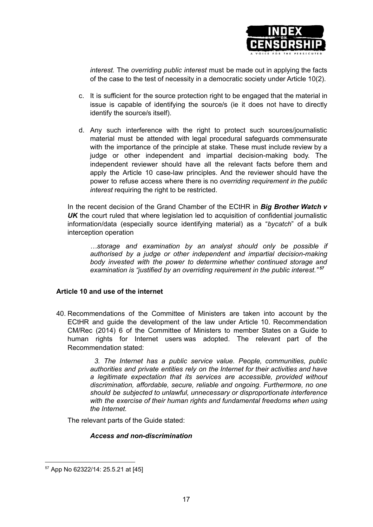

*interest.* The *overriding public interest* must be made out in applying the facts of the case to the test of necessity in a democratic society under Article 10(2).

- c. It is sufficient for the source protection right to be engaged that the material in issue is capable of identifying the source/s (ie it does not have to directly identify the source/s itself).
- d. Any such interference with the right to protect such sources/journalistic material must be attended with legal procedural safeguards commensurate with the importance of the principle at stake. These must include review by a judge or other independent and impartial decision-making body. The independent reviewer should have all the relevant facts before them and apply the Article 10 case-law principles. And the reviewer should have the power to refuse access where there is no *overriding requirement in the public interest* requiring the right to be restricted.

In the recent decision of the Grand Chamber of the ECtHR in *Big Brother Watch v* **UK** the court ruled that where legislation led to acquisition of confidential journalistic information/data (especially source identifying material) as a "*bycatch*" of a bulk interception operation

*…storage and examination by an analyst should only be possible if authorised by a judge or other independent and impartial decision-making body invested with the power to determine whether continued storage and examination is "justified by an overriding requirement in the public interest." 57*

## **Article 10 and use of the internet**

40. Recommendations of the Committee of Ministers are taken into account by the ECtHR and guide the development of the law under Article 10. Recommendation CM/Rec (2014) 6 of the Committee of Ministers to member States on a Guide to human rights for Internet users was adopted. The relevant part of the Recommendation stated:

> *3. The Internet has a public service value. People, communities, public authorities and private entities rely on the Internet for their activities and have a legitimate expectation that its services are accessible, provided without discrimination, affordable, secure, reliable and ongoing. Furthermore, no one should be subjected to unlawful, unnecessary or disproportionate interference with the exercise of their human rights and fundamental freedoms when using the Internet.*

The relevant parts of the Guide stated:

## *Access and non-discrimination*

<sup>57</sup> App No 62322/14: 25.5.21 at [45]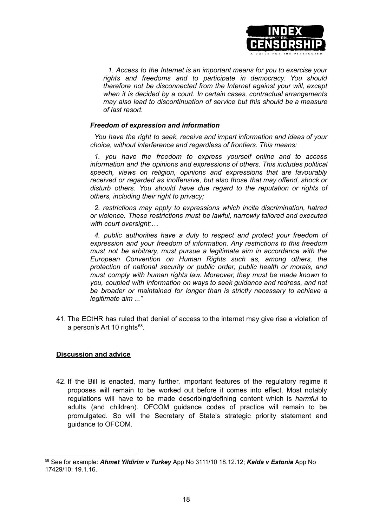

*1. Access to the Internet is an important means for you to exercise your rights and freedoms and to participate in democracy. You should therefore not be disconnected from the Internet against your will, except when it is decided by a court. In certain cases, contractual arrangements may also lead to discontinuation of service but this should be a measure of last resort.*

#### *Freedom of expression and information*

*You have the right to seek, receive and impart information and ideas of your choice, without interference and regardless of frontiers. This means:*

*1. you have the freedom to express yourself online and to access information and the opinions and expressions of others. This includes political speech, views on religion, opinions and expressions that are favourably received or regarded as inoffensive, but also those that may offend, shock or disturb others. You should have due regard to the reputation or rights of others, including their right to privacy;*

*2. restrictions may apply to expressions which incite discrimination, hatred or violence. These restrictions must be lawful, narrowly tailored and executed with court oversight;…*

*4. public authorities have a duty to respect and protect your freedom of expression and your freedom of information. Any restrictions to this freedom must not be arbitrary, must pursue a legitimate aim in accordance with the European Convention on Human Rights such as, among others, the protection of national security or public order, public health or morals, and must comply with human rights law. Moreover, they must be made known to you, coupled with information on ways to seek guidance and redress, and not be broader or maintained for longer than is strictly necessary to achieve a legitimate aim ..."*

41. The ECtHR has ruled that denial of access to the internet may give rise a violation of a person's Art 10 rights<sup>58</sup>.

## **Discussion and advice**

42. If the Bill is enacted, many further, important features of the regulatory regime it proposes will remain to be worked out before it comes into effect. Most notably regulations will have to be made describing/defining content which is *harmful* to adults (and children). OFCOM guidance codes of practice will remain to be promulgated. So will the Secretary of State's strategic priority statement and guidance to OFCOM.

<sup>58</sup> See for example: *Ahmet Yildirim v Turkey* App No 3111/10 18.12.12; *Kalda v Estonia* App No 17429/10; 19.1.16.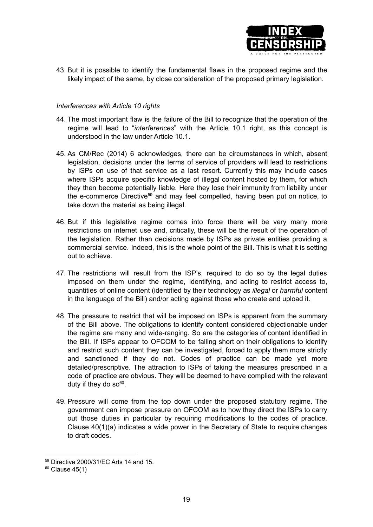

43. But it is possible to identify the fundamental flaws in the proposed regime and the likely impact of the same, by close consideration of the proposed primary legislation.

## *Interferences with Article 10 rights*

- 44. The most important flaw is the failure of the Bill to recognize that the operation of the regime will lead to "*interferences*" with the Article 10.1 right, as this concept is understood in the law under Article 10.1.
- 45. As CM/Rec (2014) 6 acknowledges, there can be circumstances in which, absent legislation, decisions under the terms of service of providers will lead to restrictions by ISPs on use of that service as a last resort. Currently this may include cases where ISPs acquire specific knowledge of illegal content hosted by them, for which they then become potentially liable. Here they lose their immunity from liability under the e-commerce Directive<sup>59</sup> and may feel compelled, having been put on notice, to take down the material as being illegal.
- 46. But if this legislative regime comes into force there will be very many more restrictions on internet use and, critically, these will be the result of the operation of the legislation. Rather than decisions made by ISPs as private entities providing a commercial service. Indeed, this is the whole point of the Bill. This is what it is setting out to achieve.
- 47. The restrictions will result from the ISP's, required to do so by the legal duties imposed on them under the regime, identifying, and acting to restrict access to, quantities of online content (identified by their technology as *illegal* or *harmful* content in the language of the Bill) and/or acting against those who create and upload it.
- 48. The pressure to restrict that will be imposed on ISPs is apparent from the summary of the Bill above. The obligations to identify content considered objectionable under the regime are many and wide-ranging. So are the categories of content identified in the Bill. If ISPs appear to OFCOM to be falling short on their obligations to identify and restrict such content they can be investigated, forced to apply them more strictly and sanctioned if they do not. Codes of practice can be made yet more detailed/prescriptive. The attraction to ISPs of taking the measures prescribed in a code of practice are obvious. They will be deemed to have complied with the relevant duty if they do so<sup>60</sup>.
- 49. Pressure will come from the top down under the proposed statutory regime. The government can impose pressure on OFCOM as to how they direct the ISPs to carry out those duties in particular by requiring modifications to the codes of practice. Clause 40(1)(a) indicates a wide power in the Secretary of State to require changes to draft codes.

<sup>59</sup> Directive 2000/31/EC Arts 14 and 15.

 $60$  Clause 45(1)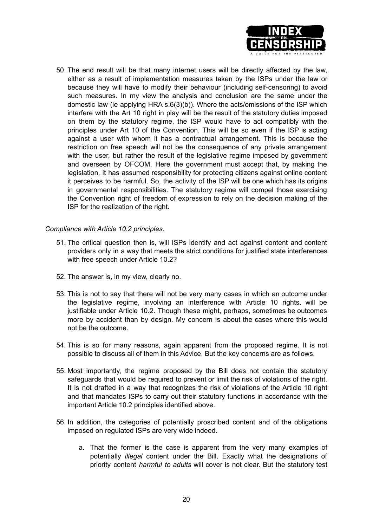

50. The end result will be that many internet users will be directly affected by the law, either as a result of implementation measures taken by the ISPs under the law or because they will have to modify their behaviour (including self-censoring) to avoid such measures. In my view the analysis and conclusion are the same under the domestic law (ie applying HRA s.6(3)(b)). Where the acts/omissions of the ISP which interfere with the Art 10 right in play will be the result of the statutory duties imposed on them by the statutory regime, the ISP would have to act compatibly with the principles under Art 10 of the Convention. This will be so even if the ISP is acting against a user with whom it has a contractual arrangement. This is because the restriction on free speech will not be the consequence of any private arrangement with the user, but rather the result of the legislative regime imposed by government and overseen by OFCOM. Here the government must accept that, by making the legislation, it has assumed responsibility for protecting citizens against online content it perceives to be harmful. So, the activity of the ISP will be one which has its origins in governmental responsibilities. The statutory regime will compel those exercising the Convention right of freedom of expression to rely on the decision making of the ISP for the realization of the right.

## *Compliance with Article 10.2 principles.*

- 51. The critical question then is, will ISPs identify and act against content and content providers only in a way that meets the strict conditions for justified state interferences with free speech under Article 10.2?
- 52. The answer is, in my view, clearly no.
- 53. This is not to say that there will not be very many cases in which an outcome under the legislative regime, involving an interference with Article 10 rights, will be justifiable under Article 10.2. Though these might, perhaps, sometimes be outcomes more by accident than by design. My concern is about the cases where this would not be the outcome.
- 54. This is so for many reasons, again apparent from the proposed regime. It is not possible to discuss all of them in this Advice. But the key concerns are as follows.
- 55. Most importantly, the regime proposed by the Bill does not contain the statutory safeguards that would be required to prevent or limit the risk of violations of the right. It is not drafted in a way that recognizes the risk of violations of the Article 10 right and that mandates ISPs to carry out their statutory functions in accordance with the important Article 10.2 principles identified above.
- 56. In addition, the categories of potentially proscribed content and of the obligations imposed on regulated ISPs are very wide indeed.
	- a. That the former is the case is apparent from the very many examples of potentially *illegal* content under the Bill. Exactly what the designations of priority content *harmful to adults* will cover is not clear. But the statutory test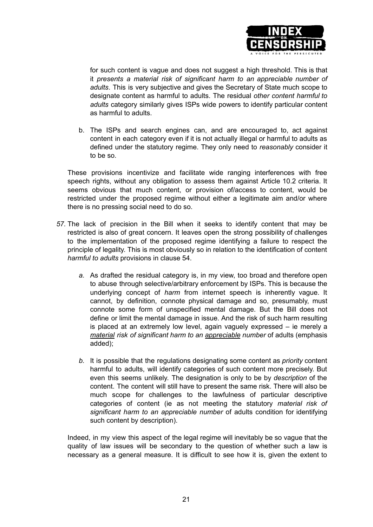

for such content is vague and does not suggest a high threshold. This is that it *presents a material risk of significant harm to an appreciable number of adults*. This is very subjective and gives the Secretary of State much scope to designate content as harmful to adults. The residual *other content harmful to adults* category similarly gives ISPs wide powers to identify particular content as harmful to adults.

b. The ISPs and search engines can, and are encouraged to, act against content in each category even if it is not actually illegal or harmful to adults as defined under the statutory regime. They only need to *reasonably* consider it to be so.

These provisions incentivize and facilitate wide ranging interferences with free speech rights, without any obligation to assess them against Article 10.2 criteria. It seems obvious that much content, or provision of/access to content, would be restricted under the proposed regime without either a legitimate aim and/or where there is no pressing social need to do so.

- *57.* The lack of precision in the Bill when it seeks to identify content that may be restricted is also of great concern. It leaves open the strong possibility of challenges to the implementation of the proposed regime identifying a failure to respect the principle of legality. This is most obviously so in relation to the identification of content *harmful to adults* provisions in clause 54.
	- *a.* As drafted the residual category is, in my view, too broad and therefore open to abuse through selective/arbitrary enforcement by ISPs. This is because the underlying concept of *harm* from internet speech is inherently vague. It cannot, by definition, connote physical damage and so, presumably, must connote some form of unspecified mental damage. But the Bill does not define or limit the mental damage in issue. And the risk of such harm resulting is placed at an extremely low level, again vaguely expressed – ie merely a *material risk of significant harm to an appreciable number* of adults (emphasis added);
	- *b.* It is possible that the regulations designating some content as *priority* content harmful to adults, will identify categories of such content more precisely. But even this seems unlikely. The designation is only to be by *description* of the content. The content will still have to present the same risk. There will also be much scope for challenges to the lawfulness of particular descriptive categories of content (ie as not meeting the statutory *material risk of significant harm to an appreciable number* of adults condition for identifying such content by description).

Indeed, in my view this aspect of the legal regime will inevitably be so vague that the quality of law issues will be secondary to the question of whether such a law is necessary as a general measure. It is difficult to see how it is, given the extent to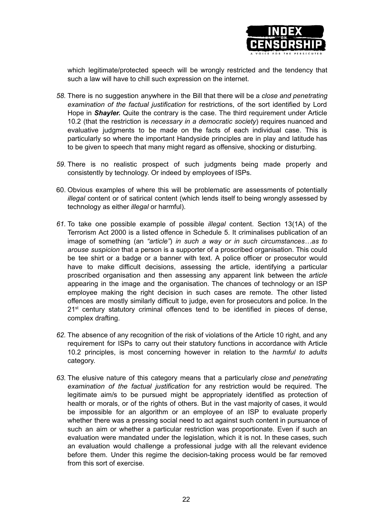

which legitimate/protected speech will be wrongly restricted and the tendency that such a law will have to chill such expression on the internet.

- *58.* There is no suggestion anywhere in the Bill that there will be a *close and penetrating examination of the factual justification* for restrictions, of the sort identified by Lord Hope in *Shayler.* Quite the contrary is the case. The third requirement under Article 10.2 (that the restriction is *necessary in a democratic society*) requires nuanced and evaluative judgments to be made on the facts of each individual case. This is particularly so where the important Handyside principles are in play and latitude has to be given to speech that many might regard as offensive, shocking or disturbing.
- *59.* There is no realistic prospect of such judgments being made properly and consistently by technology. Or indeed by employees of ISPs.
- 60. Obvious examples of where this will be problematic are assessments of potentially *illegal* content or of satirical content (which lends itself to being wrongly assessed by technology as either *illegal* or harmful).
- *61.* To take one possible example of possible *illegal* content. Section 13(1A) of the Terrorism Act 2000 is a listed offence in Schedule 5. It criminalises publication of an image of something (an *"article"*) *in such a way or in such circumstances…as to arouse suspicion* that a person is a supporter of a proscribed organisation. This could be tee shirt or a badge or a banner with text. A police officer or prosecutor would have to make difficult decisions, assessing the article, identifying a particular proscribed organisation and then assessing any apparent link between the *article* appearing in the image and the organisation. The chances of technology or an ISP employee making the right decision in such cases are remote. The other listed offences are mostly similarly difficult to judge, even for prosecutors and police. In the 21<sup>st</sup> century statutory criminal offences tend to be identified in pieces of dense, complex drafting.
- *62.* The absence of any recognition of the risk of violations of the Article 10 right, and any requirement for ISPs to carry out their statutory functions in accordance with Article 10.2 principles, is most concerning however in relation to the *harmful to adults* category.
- *63.* The elusive nature of this category means that a particularly *close and penetrating examination of the factual justification* for any restriction would be required. The legitimate aim/s to be pursued might be appropriately identified as protection of health or morals, or of the rights of others. But in the vast majority of cases, it would be impossible for an algorithm or an employee of an ISP to evaluate properly whether there was a pressing social need to act against such content in pursuance of such an aim or whether a particular restriction was proportionate. Even if such an evaluation were mandated under the legislation, which it is not. In these cases, such an evaluation would challenge a professional judge with all the relevant evidence before them. Under this regime the decision-taking process would be far removed from this sort of exercise.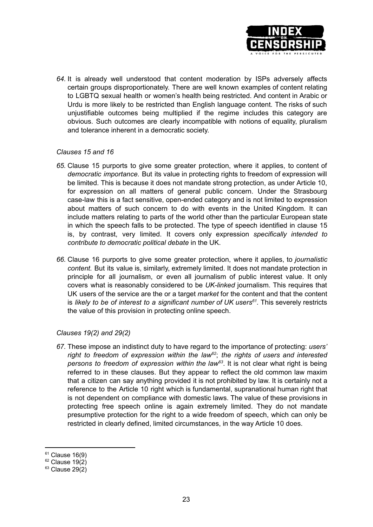

*64.* It is already well understood that content moderation by ISPs adversely affects certain groups disproportionately. There are well known examples of content relating to LGBTQ sexual health or women's health being restricted. And content in Arabic or Urdu is more likely to be restricted than English language content. The risks of such unjustifiable outcomes being multiplied if the regime includes this category are obvious. Such outcomes are clearly incompatible with notions of equality, pluralism and tolerance inherent in a democratic society.

## *Clauses 15 and 16*

- *65.* Clause 15 purports to give some greater protection, where it applies, to content of *democratic importance.* But its value in protecting rights to freedom of expression will be limited. This is because it does not mandate strong protection, as under Article 10, for expression on all matters of general public concern. Under the Strasbourg case-law this is a fact sensitive, open-ended category and is not limited to expression about matters of such concern to do with events in the United Kingdom. It can include matters relating to parts of the world other than the particular European state in which the speech falls to be protected. The type of speech identified in clause 15 is, by contrast, very limited. It covers only expression *specifically intended to contribute to democratic political debate* in the UK.
- *66.* Clause 16 purports to give some greater protection, where it applies, to *journalistic content.* But its value is, similarly, extremely limited. It does not mandate protection in principle for all journalism, or even all journalism of public interest value. It only covers what is reasonably considered to be *UK-linked* journalism. This requires that UK users of the service are the or a target *market* for the content and that the content is *likely to be of interest to a significant number of UK users 61 .* This severely restricts the value of this provision in protecting online speech.

# *Clauses 19(2) and 29(2)*

*67.* These impose an indistinct duty to have regard to the importance of protecting: *users' right to freedom of expression within the law 62* ; *the rights of users and interested persons to freedom of expression within the law 63* . It is not clear what right is being referred to in these clauses. But they appear to reflect the old common law maxim that a citizen can say anything provided it is not prohibited by law. It is certainly not a reference to the Article 10 right which is fundamental, supranational human right that is not dependent on compliance with domestic laws. The value of these provisions in protecting free speech online is again extremely limited. They do not mandate presumptive protection for the right to a wide freedom of speech, which can only be restricted in clearly defined, limited circumstances, in the way Article 10 does.

 $61$  Clause 16(9)

 $62$  Clause 19(2)

 $63$  Clause 29(2)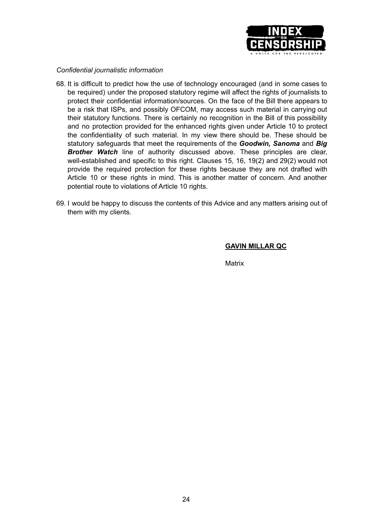

#### *Confidential journalistic information*

- 68. It is difficult to predict how the use of technology encouraged (and in some cases to be required) under the proposed statutory regime will affect the rights of journalists to protect their confidential information/sources. On the face of the Bill there appears to be a risk that ISPs, and possibly OFCOM, may access such material in carrying out their statutory functions. There is certainly no recognition in the Bill of this possibility and no protection provided for the enhanced rights given under Article 10 to protect the confidentiality of such material. In my view there should be. These should be statutory safeguards that meet the requirements of the *Goodwin, Sanoma* and *Big Brother Watch* line of authority discussed above. These principles are clear, well-established and specific to this right. Clauses 15, 16, 19(2) and 29(2) would not provide the required protection for these rights because they are not drafted with Article 10 or these rights in mind. This is another matter of concern. And another potential route to violations of Article 10 rights.
- 69. I would be happy to discuss the contents of this Advice and any matters arising out of them with my clients.

#### **GAVIN MILLAR QC**

**Matrix**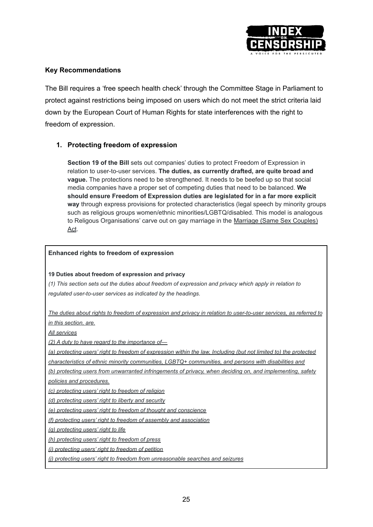

## **Key Recommendations**

The Bill requires a 'free speech health check' through the Committee Stage in Parliament to protect against restrictions being imposed on users which do not meet the strict criteria laid down by the European Court of Human Rights for state interferences with the right to freedom of expression.

# **1. Protecting freedom of expression**

**Section 19 of the Bill** sets out companies' duties to protect Freedom of Expression in relation to user-to-user services. **The duties, as currently drafted, are quite broad and vague.** The protections need to be strengthened. It needs to be beefed up so that social media companies have a proper set of competing duties that need to be balanced. **We should ensure Freedom of Expression duties are legislated for in a far more explicit way** through express provisions for protected characteristics (legal speech by minority groups such as religious groups women/ethnic minorities/LGBTQ/disabled. This model is analogous to Religous Organisations' carve out on gay marriage in the Marriage (Same Sex [Couples\)](https://assets.publishing.service.gov.uk/government/uploads/system/uploads/attachment_data/file/306000/140423_M_SSC_Act_factsheet__web_version_.pdf) [Act](https://assets.publishing.service.gov.uk/government/uploads/system/uploads/attachment_data/file/306000/140423_M_SSC_Act_factsheet__web_version_.pdf).

#### **Enhanced rights to freedom of expression**

#### **19 Duties about freedom of expression and privacy**

*(1) This section sets out the duties about freedom of expression and privacy which apply in relation to regulated user-to-user services as indicated by the headings.*

*The duties about rights to freedom of expression and privacy in relation to user-to-user services, as referred to in this section, are.*

*All services*

*(2) A duty to have regard to the importance of—*

*(a) protecting users' right to freedom of expression within the law, Including (but not limited to) the protected*

*characteristics of ethnic minority communities, LGBTQ+ communities, and persons with disabilities and*

*(b) protecting users from unwarranted infringements of privacy, when deciding on, and implementing, safety policies and procedures.*

*(c) protecting users' right to freedom of religion*

*(d) protecting users' right to liberty and security*

*(e) protecting users' right to freedom of thought and conscience*

*(f) protecting users' right to freedom of assembly and association*

*(g) protecting users' right to life*

*(h) protecting users' right to freedom of press*

*(i) protecting users' right to freedom of petition*

*(j) protecting users' right to freedom from unreasonable searches and seizures*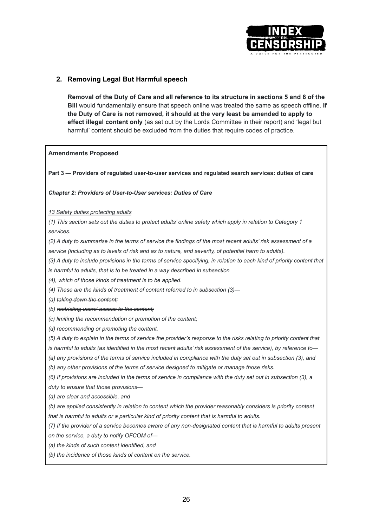

## **2. Removing Legal But Harmful speech**

**Removal of the Duty of Care and all reference to its structure in sections 5 and 6 of the Bill** would fundamentally ensure that speech online was treated the same as speech offline. **If the Duty of Care is not removed, it should at the very least be amended to apply to effect illegal content only** (as set out by the Lords Committee in their report) and 'legal but harmful' content should be excluded from the duties that require codes of practice.

#### **Amendments Proposed**

**Part 3 — Providers of regulated user-to-user services and regulated search services: duties of care**

#### *Chapter 2: Providers of User-to-User services: Duties of Care*

*13 Safety duties protecting adults*

*(1) This section sets out the duties to protect adults' online safety which apply in relation to Category 1 services.*

*(2) A duty to summarise in the terms of service the findings of the most recent adults' risk assessment of a*

*service (including as to levels of risk and as to nature, and severity, of potential harm to adults).*

*(3) A duty to include provisions in the terms of service specifying, in relation to each kind of priority content that is harmful to adults, that is to be treated in a way described in subsection*

*(4), which of those kinds of treatment is to be applied.*

*(4) These are the kinds of treatment of content referred to in subsection (3)—*

*(a) taking down the content;*

*(b) restricting users' access to the content;*

*(c) limiting the recommendation or promotion of the content;*

*(d) recommending or promoting the content.*

*(5) A duty to explain in the terms of service the provider's response to the risks relating to priority content that*

*is harmful to adults (as identified in the most recent adults' risk assessment of the service), by reference to—*

*(a) any provisions of the terms of service included in compliance with the duty set out in subsection (3), and*

*(b) any other provisions of the terms of service designed to mitigate or manage those risks.*

*(6) If provisions are included in the terms of service in compliance with the duty set out in subsection (3), a duty to ensure that those provisions—*

*(a) are clear and accessible, and*

*(b) are applied consistently in relation to content which the provider reasonably considers is priority content that is harmful to adults or a particular kind of priority content that is harmful to adults.*

*(7) If the provider of a service becomes aware of any non-designated content that is harmful to adults present on the service, a duty to notify OFCOM of—*

*(a) the kinds of such content identified, and*

*(b) the incidence of those kinds of content on the service.*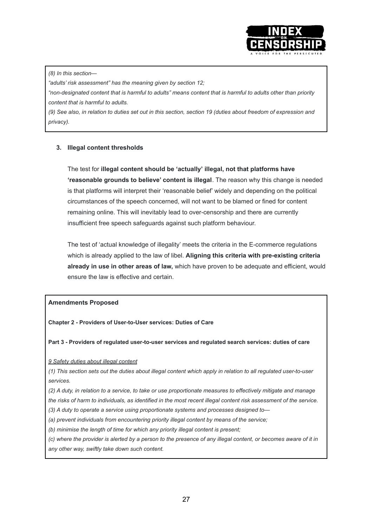

#### *(8) In this section—*

*"adults' risk assessment" has the meaning given by section 12;*

*"non-designated content that is harmful to adults" means content that is harmful to adults other than priority content that is harmful to adults.*

*(9) See also, in relation to duties set out in this section, section 19 (duties about freedom of expression and privacy).*

## **3. Illegal content thresholds**

The test for **illegal content should be 'actually' illegal, not that platforms have 'reasonable grounds to believe' content is illegal**. The reason why this change is needed is that platforms will interpret their 'reasonable belief' widely and depending on the political circumstances of the speech concerned, will not want to be blamed or fined for content remaining online. This will inevitably lead to over-censorship and there are currently insufficient free speech safeguards against such platform behaviour.

The test of 'actual knowledge of illegality' meets the criteria in the E-commerce regulations which is already applied to the law of libel. **Aligning this criteria with pre-existing criteria already in use in other areas of law,** which have proven to be adequate and efficient, would ensure the law is effective and certain.

#### **Amendments Proposed**

**Chapter 2 - Providers of User-to-User services: Duties of Care**

**Part 3 - Providers of regulated user-to-user services and regulated search services: duties of care**

*9 Safety duties about illegal content*

*(1) This section sets out the duties about illegal content which apply in relation to all regulated user-to-user services.*

*(2) A duty, in relation to a service, to take or use proportionate measures to effectively mitigate and manage the risks of harm to individuals, as identified in the most recent illegal content risk assessment of the service.*

*(3) A duty to operate a service using proportionate systems and processes designed to—*

*(a) prevent individuals from encountering priority illegal content by means of the service;*

*(b) minimise the length of time for which any priority illegal content is present;*

*(c) where the provider is alerted by a person to the presence of any illegal content, or becomes aware of it in any other way, swiftly take down such content.*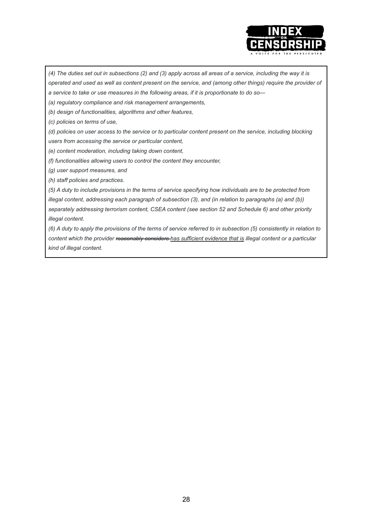

*(4) The duties set out in subsections (2) and (3) apply across all areas of a service, including the way it is operated and used as well as content present on the service, and (among other things) require the provider of a service to take or use measures in the following areas, if it is proportionate to do so—*

*(a) regulatory compliance and risk management arrangements,*

*(b) design of functionalities, algorithms and other features,*

*(c) policies on terms of use,*

*(d) policies on user access to the service or to particular content present on the service, including blocking users from accessing the service or particular content,*

*(e) content moderation, including taking down content,*

*(f) functionalities allowing users to control the content they encounter,*

*(g) user support measures, and*

*(h) staff policies and practices.*

*(5) A duty to include provisions in the terms of service specifying how individuals are to be protected from illegal content, addressing each paragraph of subsection (3), and (in relation to paragraphs (a) and (b)) separately addressing terrorism content, CSEA content (see section 52 and Schedule 6) and other priority illegal content.*

*(6) A duty to apply the provisions of the terms of service referred to in subsection (5) consistently in relation to content which the provider reasonably considers has sufficient evidence that is illegal content or a particular kind of illegal content.*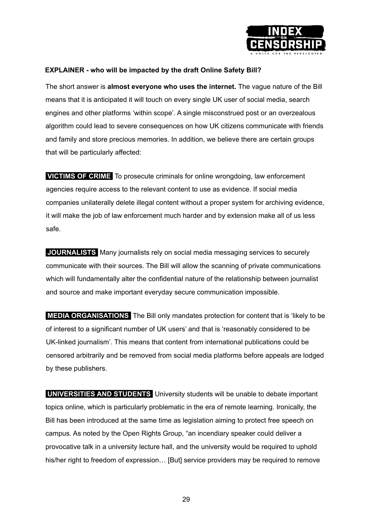

# **EXPLAINER - who will be impacted by the draft Online Safety Bill?**

The short answer is **almost everyone who uses the internet.** The vague nature of the Bill means that it is anticipated it will touch on every single UK user of social media, search engines and other platforms 'within scope'. A single misconstrued post or an overzealous algorithm could lead to severe consequences on how UK citizens communicate with friends and family and store precious memories. In addition, we believe there are certain groups that will be particularly affected:

**VICTIMS OF CRIME** To prosecute criminals for online wrongdoing, law enforcement agencies require access to the relevant content to use as evidence. If social media companies unilaterally delete illegal content without a proper system for archiving evidence, it will make the job of law enforcement much harder and by extension make all of us less safe.

**JOURNALISTS** Many journalists rely on social media messaging services to securely communicate with their sources. The Bill will allow the scanning of private communications which will fundamentally alter the confidential nature of the relationship between journalist and source and make important everyday secure communication impossible.

**MEDIA ORGANISATIONS** The Bill only mandates protection for content that is 'likely to be of interest to a significant number of UK users' and that is 'reasonably considered to be UK-linked journalism'. This means that content from international publications could be censored arbitrarily and be removed from social media platforms before appeals are lodged by these publishers.

**UNIVERSITIES AND STUDENTS** University students will be unable to debate important topics online, which is particularly problematic in the era of remote learning. Ironically, the Bill has been introduced at the same time as legislation aiming to protect free speech on campus. As noted by the Open Rights Group, "an incendiary speaker could deliver a provocative talk in a university lecture hall, and the university would be required to uphold his/her right to freedom of expression... [But] service providers may be required to remove